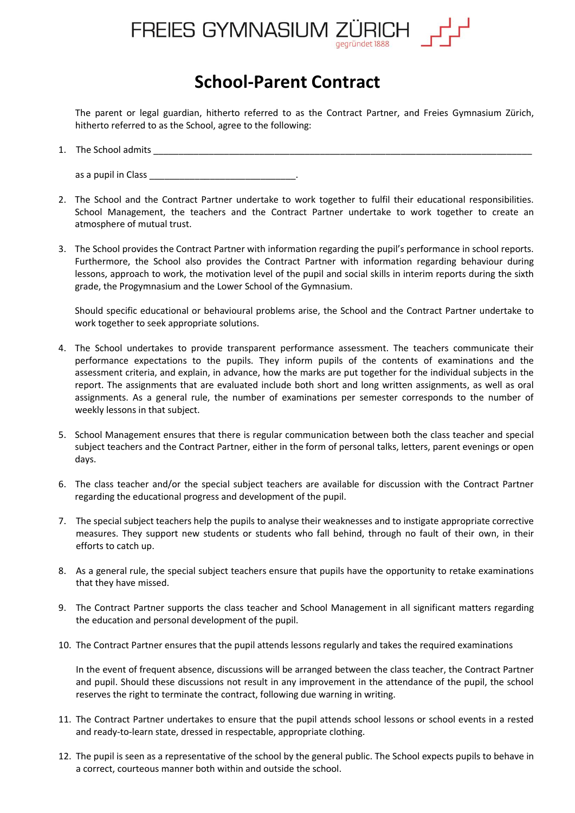

## **School-Parent Contract**

The parent or legal guardian, hitherto referred to as the Contract Partner, and Freies Gymnasium Zürich, hitherto referred to as the School, agree to the following:

1. The School admits \_\_\_\_\_\_\_\_\_\_\_\_\_\_\_\_\_\_\_\_\_\_\_\_\_\_\_\_\_\_\_\_\_\_\_\_\_\_\_\_\_\_\_\_\_\_\_\_\_\_\_\_\_\_\_\_\_\_\_\_\_\_\_\_\_\_\_\_\_\_\_\_\_\_\_

as a pupil in Class

- 2. The School and the Contract Partner undertake to work together to fulfil their educational responsibilities. School Management, the teachers and the Contract Partner undertake to work together to create an atmosphere of mutual trust.
- 3. The School provides the Contract Partner with information regarding the pupil's performance in school reports. Furthermore, the School also provides the Contract Partner with information regarding behaviour during lessons, approach to work, the motivation level of the pupil and social skills in interim reports during the sixth grade, the Progymnasium and the Lower School of the Gymnasium.

Should specific educational or behavioural problems arise, the School and the Contract Partner undertake to work together to seek appropriate solutions.

- 4. The School undertakes to provide transparent performance assessment. The teachers communicate their performance expectations to the pupils. They inform pupils of the contents of examinations and the assessment criteria, and explain, in advance, how the marks are put together for the individual subjects in the report. The assignments that are evaluated include both short and long written assignments, as well as oral assignments. As a general rule, the number of examinations per semester corresponds to the number of weekly lessons in that subject.
- 5. School Management ensures that there is regular communication between both the class teacher and special subject teachers and the Contract Partner, either in the form of personal talks, letters, parent evenings or open days.
- 6. The class teacher and/or the special subject teachers are available for discussion with the Contract Partner regarding the educational progress and development of the pupil.
- 7. The special subject teachers help the pupils to analyse their weaknesses and to instigate appropriate corrective measures. They support new students or students who fall behind, through no fault of their own, in their efforts to catch up.
- 8. As a general rule, the special subject teachers ensure that pupils have the opportunity to retake examinations that they have missed.
- 9. The Contract Partner supports the class teacher and School Management in all significant matters regarding the education and personal development of the pupil.
- 10. The Contract Partner ensures that the pupil attends lessons regularly and takes the required examinations

In the event of frequent absence, discussions will be arranged between the class teacher, the Contract Partner and pupil. Should these discussions not result in any improvement in the attendance of the pupil, the school reserves the right to terminate the contract, following due warning in writing.

- 11. The Contract Partner undertakes to ensure that the pupil attends school lessons or school events in a rested and ready-to-learn state, dressed in respectable, appropriate clothing.
- 12. The pupil is seen as a representative of the school by the general public. The School expects pupils to behave in a correct, courteous manner both within and outside the school.